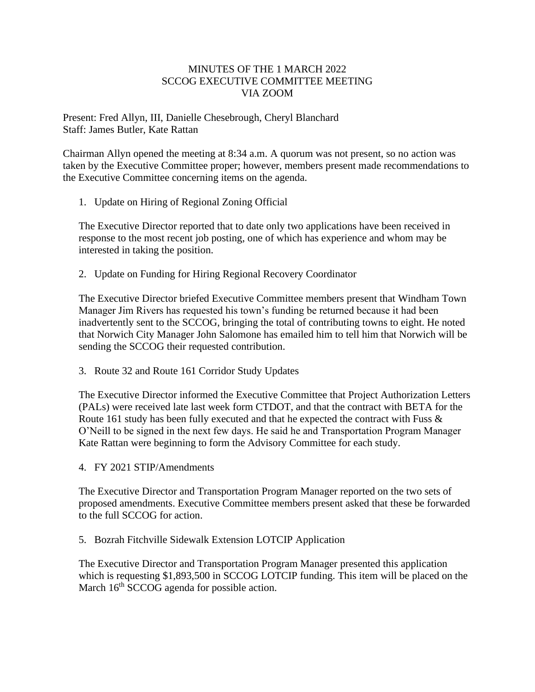## MINUTES OF THE 1 MARCH 2022 SCCOG EXECUTIVE COMMITTEE MEETING VIA ZOOM

Present: Fred Allyn, III, Danielle Chesebrough, Cheryl Blanchard Staff: James Butler, Kate Rattan

Chairman Allyn opened the meeting at 8:34 a.m. A quorum was not present, so no action was taken by the Executive Committee proper; however, members present made recommendations to the Executive Committee concerning items on the agenda.

1. Update on Hiring of Regional Zoning Official

The Executive Director reported that to date only two applications have been received in response to the most recent job posting, one of which has experience and whom may be interested in taking the position.

2. Update on Funding for Hiring Regional Recovery Coordinator

The Executive Director briefed Executive Committee members present that Windham Town Manager Jim Rivers has requested his town's funding be returned because it had been inadvertently sent to the SCCOG, bringing the total of contributing towns to eight. He noted that Norwich City Manager John Salomone has emailed him to tell him that Norwich will be sending the SCCOG their requested contribution.

3. Route 32 and Route 161 Corridor Study Updates

The Executive Director informed the Executive Committee that Project Authorization Letters (PALs) were received late last week form CTDOT, and that the contract with BETA for the Route 161 study has been fully executed and that he expected the contract with Fuss & O'Neill to be signed in the next few days. He said he and Transportation Program Manager Kate Rattan were beginning to form the Advisory Committee for each study.

4. FY 2021 STIP/Amendments

The Executive Director and Transportation Program Manager reported on the two sets of proposed amendments. Executive Committee members present asked that these be forwarded to the full SCCOG for action.

5. Bozrah Fitchville Sidewalk Extension LOTCIP Application

The Executive Director and Transportation Program Manager presented this application which is requesting \$1,893,500 in SCCOG LOTCIP funding. This item will be placed on the March 16<sup>th</sup> SCCOG agenda for possible action.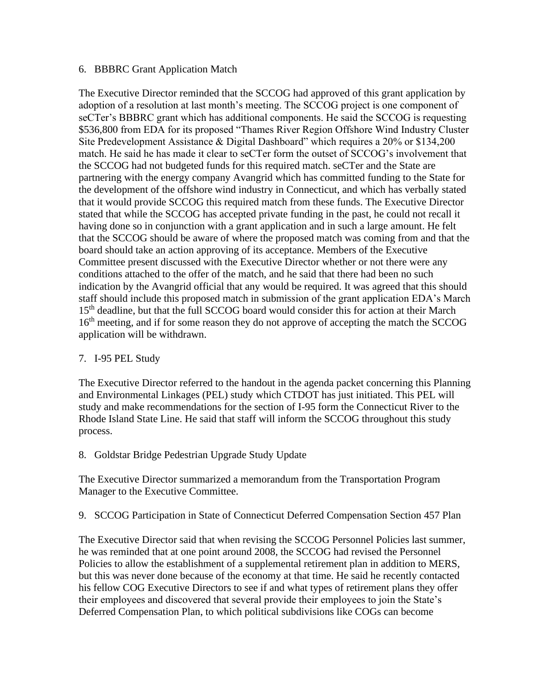## 6. BBBRC Grant Application Match

The Executive Director reminded that the SCCOG had approved of this grant application by adoption of a resolution at last month's meeting. The SCCOG project is one component of seCTer's BBBRC grant which has additional components. He said the SCCOG is requesting \$536,800 from EDA for its proposed "Thames River Region Offshore Wind Industry Cluster Site Predevelopment Assistance & Digital Dashboard" which requires a 20% or \$134,200 match. He said he has made it clear to seCTer form the outset of SCCOG's involvement that the SCCOG had not budgeted funds for this required match. seCTer and the State are partnering with the energy company Avangrid which has committed funding to the State for the development of the offshore wind industry in Connecticut, and which has verbally stated that it would provide SCCOG this required match from these funds. The Executive Director stated that while the SCCOG has accepted private funding in the past, he could not recall it having done so in conjunction with a grant application and in such a large amount. He felt that the SCCOG should be aware of where the proposed match was coming from and that the board should take an action approving of its acceptance. Members of the Executive Committee present discussed with the Executive Director whether or not there were any conditions attached to the offer of the match, and he said that there had been no such indication by the Avangrid official that any would be required. It was agreed that this should staff should include this proposed match in submission of the grant application EDA's March 15<sup>th</sup> deadline, but that the full SCCOG board would consider this for action at their March 16<sup>th</sup> meeting, and if for some reason they do not approve of accepting the match the SCCOG application will be withdrawn.

## 7. I-95 PEL Study

The Executive Director referred to the handout in the agenda packet concerning this Planning and Environmental Linkages (PEL) study which CTDOT has just initiated. This PEL will study and make recommendations for the section of I-95 form the Connecticut River to the Rhode Island State Line. He said that staff will inform the SCCOG throughout this study process.

8. Goldstar Bridge Pedestrian Upgrade Study Update

The Executive Director summarized a memorandum from the Transportation Program Manager to the Executive Committee.

9. SCCOG Participation in State of Connecticut Deferred Compensation Section 457 Plan

The Executive Director said that when revising the SCCOG Personnel Policies last summer, he was reminded that at one point around 2008, the SCCOG had revised the Personnel Policies to allow the establishment of a supplemental retirement plan in addition to MERS, but this was never done because of the economy at that time. He said he recently contacted his fellow COG Executive Directors to see if and what types of retirement plans they offer their employees and discovered that several provide their employees to join the State's Deferred Compensation Plan, to which political subdivisions like COGs can become